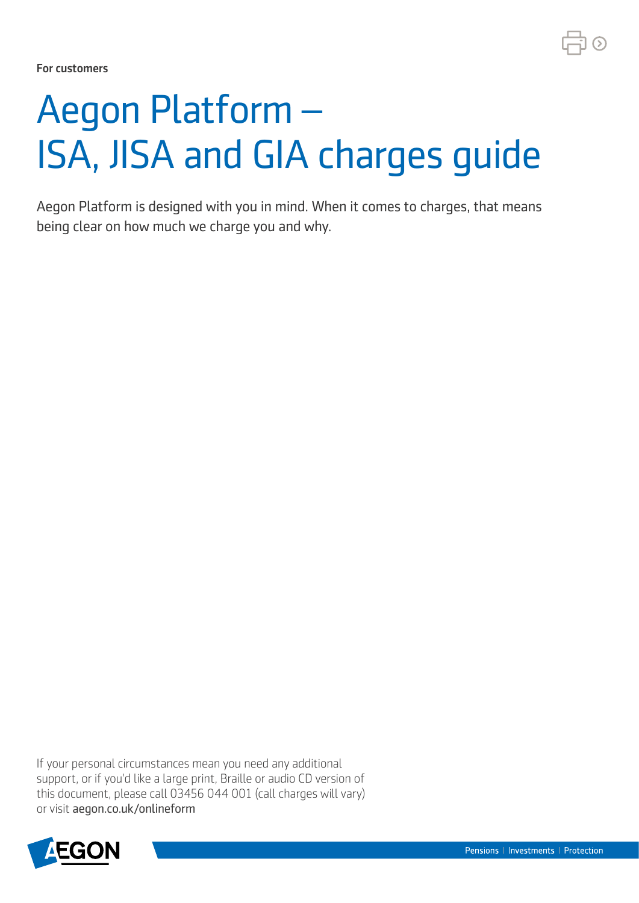For customers

# Aegon Platform – ISA, JISA and GIA charges guide

Aegon Platform is designed with you in mind. When it comes to charges, that means being clear on how much we charge you and why.

If your personal circumstances mean you need any additional support, or if you'd like a large print, Braille or audio CD version of this document, please call 03456 044 001 (call charges will vary) or visit [aegon.co.uk/onlineform](http://aegon.co.uk/onlineform) 

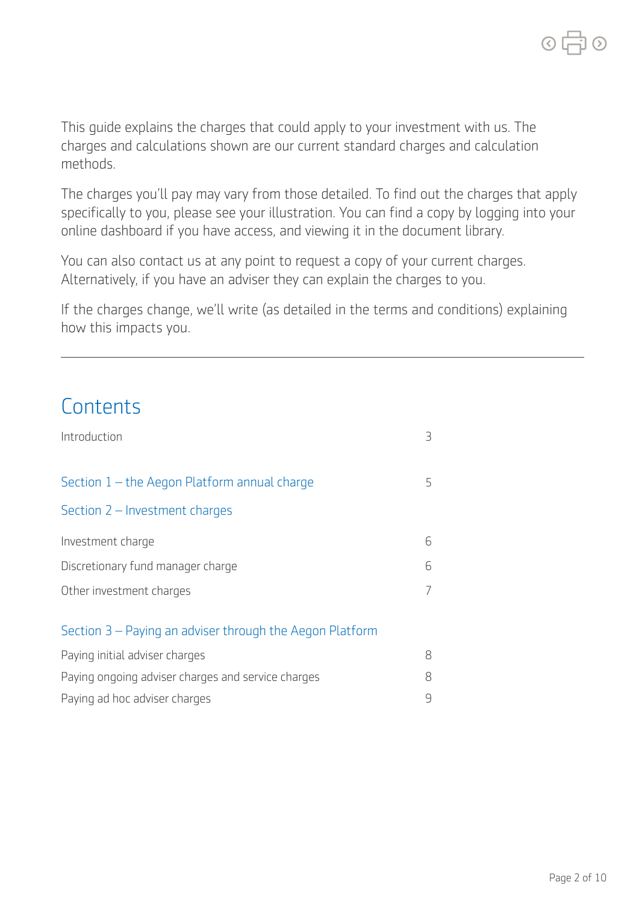This guide explains the charges that could apply to your investment with us. The charges and calculations shown are our current standard charges and calculation methods.

The charges you'll pay may vary from those detailed. To find out the charges that apply specifically to you, please see your illustration. You can find a copy by logging into your online dashboard if you have access, and viewing it in the document library.

You can also contact us at any point to request a copy of your current charges. Alternatively, if you have an adviser they can explain the charges to you.

If the charges change, we'll write (as detailed in the terms and conditions) explaining how this impacts you.

# **Contents**

| Introduction                                             | 3 |
|----------------------------------------------------------|---|
| Section 1 - the Aegon Platform annual charge             | 5 |
| Section $2$ – Investment charges                         |   |
| Investment charge                                        | 6 |
| Discretionary fund manager charge                        | 6 |
| Other investment charges                                 |   |
| Section 3 – Paying an adviser through the Aegon Platform |   |
| Paying initial adviser charges                           | 8 |
| Paying ongoing adviser charges and service charges       | 8 |
| Paying ad hoc adviser charges                            | 9 |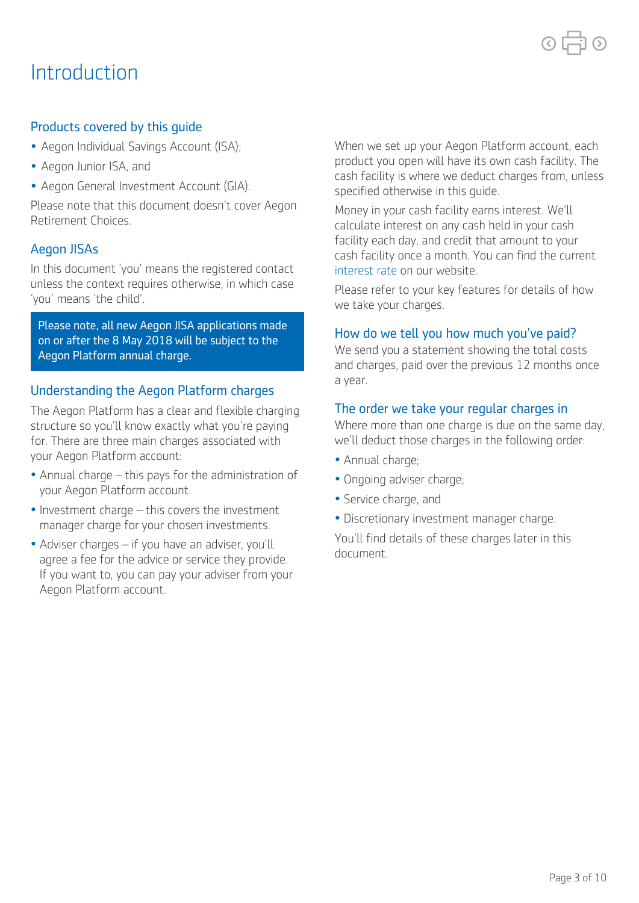# Introduction

# Products covered by this guide

- Aegon Individual Savings Account (ISA);
- Aegon Junior ISA, and
- Aegon General Investment Account (GIA).

Please note that this document doesn't cover Aegon Retirement Choices.

# Aegon JISAs

In this document 'you' means the registered contact unless the context requires otherwise, in which case 'you' means 'the child'.

Please note, all new Aegon JISA applications made on or after the 8 May 2018 will be subject to the Aegon Platform annual charge.

# Understanding the Aegon Platform charges

The Aegon Platform has a clear and flexible charging structure so you'll know exactly what you're paying for. There are three main charges associated with your Aegon Platform account:

- • Annual charge this pays for the administration of your Aegon Platform account.
- • Investment charge this covers the investment manager charge for your chosen investments.
- • Adviser charges if you have an adviser, you'll agree a fee for the advice or service they provide. If you want to, you can pay your adviser from your Aegon Platform account.

When we set up your Aegon Platform account, each product you open will have its own cash facility. The cash facility is where we deduct charges from, unless specified otherwise in this guide.

Money in your cash facility earns interest. We'll calculate interest on any cash held in your cash facility each day, and credit that amount to your cash facility once a month. You can find the current [interest rate](https://customerdashboard.aegon.co.uk/content/help-and-support.html?tab=faqs#what-rate-of-interest-is-payable-on-cash-in-my-isa-cash-facility) on our website.

Please refer to your key features for details of how we take your charges.

# How do we tell you how much you've paid?

We send you a statement showing the total costs and charges, paid over the previous 12 months once a year.

### The order we take your regular charges in

Where more than one charge is due on the same day, we'll deduct those charges in the following order:

- Annual charge;
- Ongoing adviser charge;
- Service charge, and
- Discretionary investment manager charge.

You'll find details of these charges later in this document.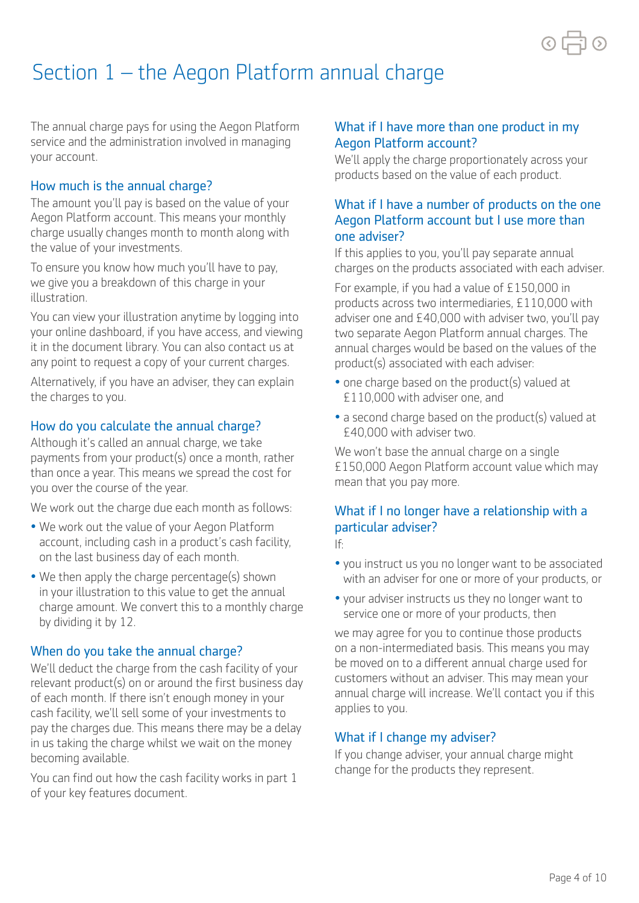

# Section 1 – the Aegon Platform annual charge

The annual charge pays for using the Aegon Platform service and the administration involved in managing your account.

# How much is the annual charge?

The amount you'll pay is based on the value of your Aegon Platform account. This means your monthly charge usually changes month to month along with the value of your investments.

To ensure you know how much you'll have to pay, we give you a breakdown of this charge in your illustration.

You can view your illustration anytime by logging into your online dashboard, if you have access, and viewing it in the document library. You can also contact us at any point to request a copy of your current charges.

Alternatively, if you have an adviser, they can explain the charges to you.

# How do you calculate the annual charge?

Although it's called an annual charge, we take payments from your product(s) once a month, rather than once a year. This means we spread the cost for you over the course of the year.

We work out the charge due each month as follows:

- We work out the value of your Aegon Platform account, including cash in a product's cash facility, on the last business day of each month.
- We then apply the charge percentage(s) shown in your illustration to this value to get the annual charge amount. We convert this to a monthly charge by dividing it by 12.

# When do you take the annual charge?

We'll deduct the charge from the cash facility of your relevant product(s) on or around the first business day of each month. If there isn't enough money in your cash facility, we'll sell some of your investments to pay the charges due. This means there may be a delay in us taking the charge whilst we wait on the money becoming available.

You can find out how the cash facility works in part 1 of your key features document.

# What if I have more than one product in my Aegon Platform account?

We'll apply the charge proportionately across your products based on the value of each product.

# What if I have a number of products on the one Aegon Platform account but I use more than one adviser?

If this applies to you, you'll pay separate annual charges on the products associated with each adviser.

For example, if you had a value of £150,000 in products across two intermediaries, £110,000 with adviser one and £40,000 with adviser two, you'll pay two separate Aegon Platform annual charges. The annual charges would be based on the values of the product(s) associated with each adviser:

- one charge based on the product(s) valued at £110,000 with adviser one, and
- a second charge based on the product(s) valued at £40,000 with adviser two.

We won't base the annual charge on a single £150,000 Aegon Platform account value which may mean that you pay more.

# If: What if I no longer have a relationship with a particular adviser?

- you instruct us you no longer want to be associated with an adviser for one or more of your products, or
- your adviser instructs us they no longer want to service one or more of your products, then

we may agree for you to continue those products on a non-intermediated basis. This means you may be moved on to a diferent annual charge used for customers without an adviser. This may mean your annual charge will increase. We'll contact you if this applies to you.

# What if I change my adviser?

If you change adviser, your annual charge might change for the products they represent.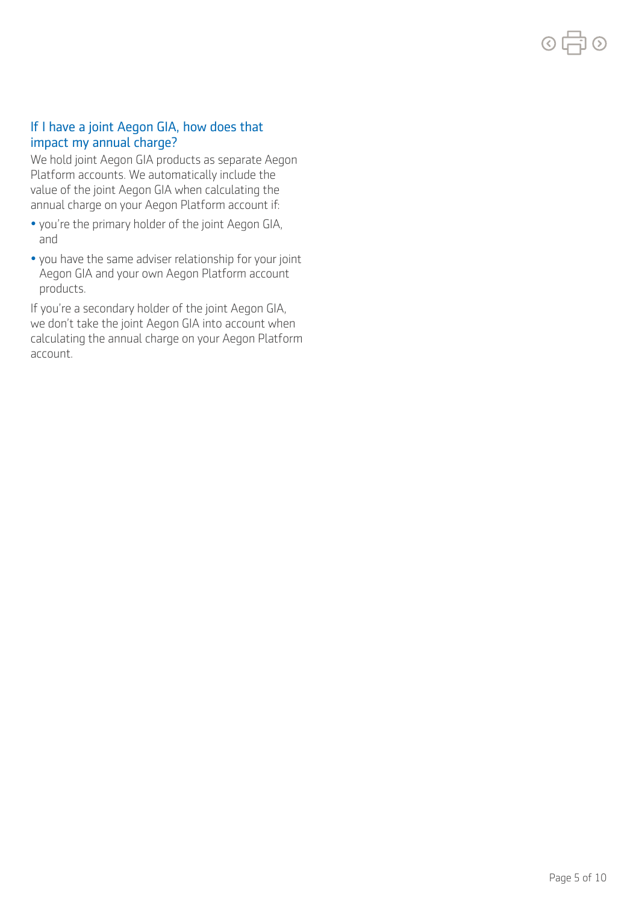# If I have a joint Aegon GIA, how does that impact my annual charge?

We hold joint Aegon GIA products as separate Aegon Platform accounts. We automatically include the value of the joint Aegon GIA when calculating the annual charge on your Aegon Platform account if:

- you're the primary holder of the joint Aegon GIA, and
- you have the same adviser relationship for your joint Aegon GIA and your own Aegon Platform account products.

If you're a secondary holder of the joint Aegon GIA, we don't take the joint Aegon GIA into account when calculating the annual charge on your Aegon Platform account.

の中の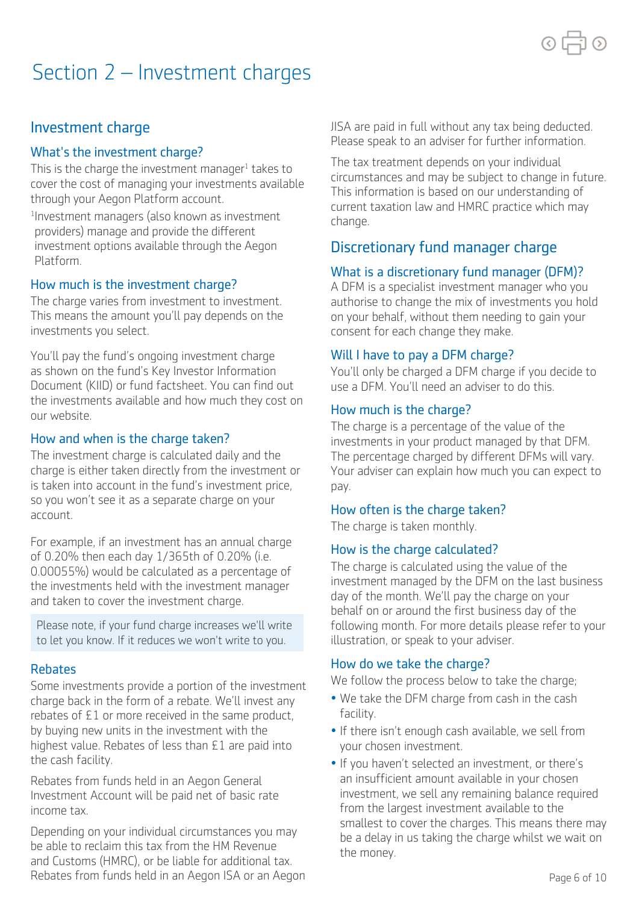

# Section 2 – Investment charges

# Investment charge

# What's the investment charge?

This is the charge the investment manager<sup>1</sup> takes to cover the cost of managing your investments available through your Aegon Platform account.

1 Investment managers (also known as investment providers) manage and provide the diferent investment options available through the Aegon Platform.

# How much is the investment charge?

The charge varies from investment to investment. This means the amount you'll pay depends on the investments you select.

You'll pay the fund's ongoing investment charge as shown on the fund's Key Investor Information Document (KIID) or fund factsheet. You can find out the investments available and how much they cost on our website.

### How and when is the charge taken?

The investment charge is calculated daily and the charge is either taken directly from the investment or is taken into account in the fund's investment price, so you won't see it as a separate charge on your account.

For example, if an investment has an annual charge of 0.20% then each day 1/365th of 0.20% (i.e. 0.00055%) would be calculated as a percentage of the investments held with the investment manager and taken to cover the investment charge.

Please note, if your fund charge increases we'll write to let you know. If it reduces we won't write to you.

# Rebates

Some investments provide a portion of the investment charge back in the form of a rebate. We'll invest any rebates of £1 or more received in the same product, by buying new units in the investment with the highest value. Rebates of less than £1 are paid into the cash facility.

Rebates from funds held in an Aegon General Investment Account will be paid net of basic rate income tax.

Depending on your individual circumstances you may be able to reclaim this tax from the HM Revenue and Customs (HMRC), or be liable for additional tax. Rebates from funds held in an Aegon ISA or an Aegon JISA are paid in full without any tax being deducted. Please speak to an adviser for further information.

The tax treatment depends on your individual circumstances and may be subject to change in future. This information is based on our understanding of current taxation law and HMRC practice which may change.

# Discretionary fund manager charge

# What is a discretionary fund manager (DFM)?

A DFM is a specialist investment manager who you authorise to change the mix of investments you hold on your behalf, without them needing to gain your consent for each change they make.

# Will I have to pay a DFM charge?

You'll only be charged a DFM charge if you decide to use a DFM. You'll need an adviser to do this.

### How much is the charge?

The charge is a percentage of the value of the investments in your product managed by that DFM. The percentage charged by different DFMs will vary. Your adviser can explain how much you can expect to pay.

# How often is the charge taken?

The charge is taken monthly.

# How is the charge calculated?

The charge is calculated using the value of the investment managed by the DFM on the last business day of the month. We'll pay the charge on your behalf on or around the first business day of the following month. For more details please refer to your illustration, or speak to your adviser.

#### How do we take the charge?

We follow the process below to take the charge;

- We take the DFM charge from cash in the cash facility.
- If there isn't enough cash available, we sell from your chosen investment.
- If you haven't selected an investment, or there's an insufficient amount available in your chosen investment, we sell any remaining balance required from the largest investment available to the smallest to cover the charges. This means there may be a delay in us taking the charge whilst we wait on the money.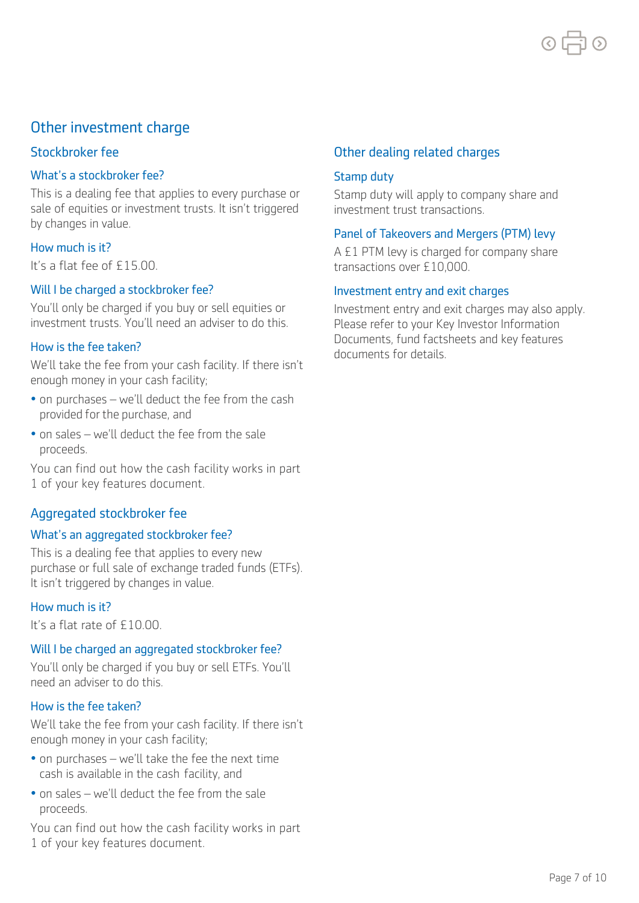

# Other investment charge

#### Stockbroker fee

#### What's a stockbroker fee?

 This is a dealing fee that applies to every purchase or sale of equities or investment trusts. It isn't triggered by changes in value.

#### How much is it?

It's a flat fee of £15.00.

#### Will I be charged a stockbroker fee?

 You'll only be charged if you buy or sell equities or investment trusts. You'll need an adviser to do this.

#### How is the fee taken?

 enough money in your cash facility; We'll take the fee from your cash facility. If there isn't

- • on purchases we'll deduct the fee from the cash provided for the purchase, and
- • on sales we'll deduct the fee from the sale proceeds.

You can find out how the cash facility works in part 1 of your key features document.

# Aggregated stockbroker fee

#### What's an aggregated stockbroker fee?

 purchase or full sale of exchange traded funds (ETFs). This is a dealing fee that applies to every new It isn't triggered by changes in value.

#### How much is it?

It's a flat rate of £10.00.

#### Will I be charged an aggregated stockbroker fee?

 need an adviser to do this. You'll only be charged if you buy or sell ETFs. You'll

#### How is the fee taken?

 enough money in your cash facility; We'll take the fee from your cash facility. If there isn't

- • on purchases we'll take the fee the next time cash is available in the cash facility, and
- • on sales we'll deduct the fee from the sale proceeds.

You can find out how the cash facility works in part 1 of your key features document.

#### Other dealing related charges

#### Stamp duty

 Stamp duty will apply to company share and investment trust transactions.

#### Panel of Takeovers and Mergers (PTM) levy

A £1 PTM levy is charged for company share transactions over £10,000.

#### Investment entry and exit charges

Investment entry and exit charges may also apply. Please refer to your Key Investor Information Documents, fund factsheets and key features documents for details.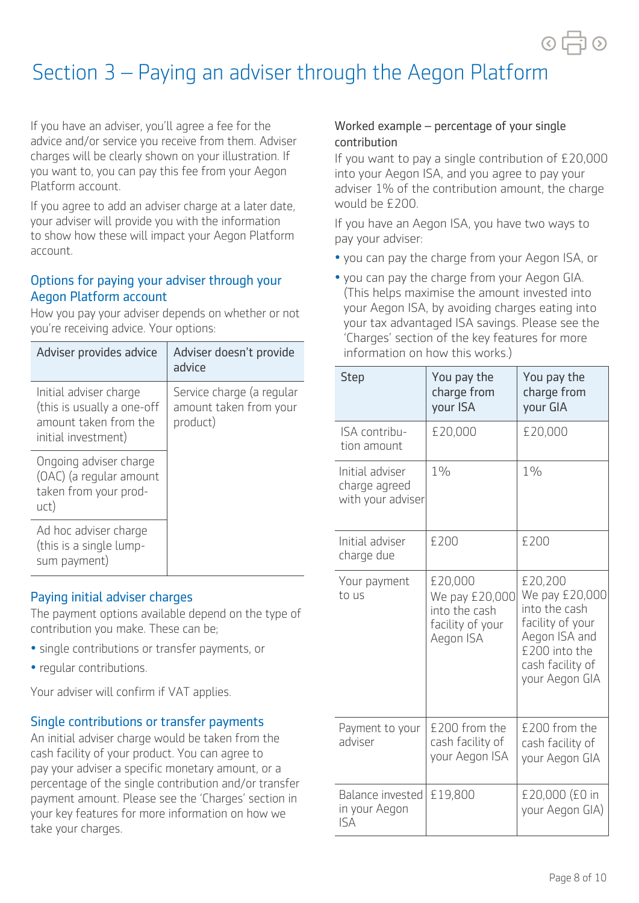# Section 3 – Paying an adviser through the Aegon Platform

If you have an adviser, you'll agree a fee for the advice and/or service you receive from them. Adviser charges will be clearly shown on your illustration. If you want to, you can pay this fee from your Aegon Platform account.

If you agree to add an adviser charge at a later date, your adviser will provide you with the information to show how these will impact your Aegon Platform account.

# Options for paying your adviser through your Aegon Platform account

How you pay your adviser depends on whether or not you're receiving advice. Your options:

| Adviser provides advice                                                                              | Adviser doesn't provide<br>advice                               |  |
|------------------------------------------------------------------------------------------------------|-----------------------------------------------------------------|--|
| Initial adviser charge<br>(this is usually a one-off<br>amount taken from the<br>initial investment) | Service charge (a regular<br>amount taken from your<br>product) |  |
| Ongoing adviser charge<br>(OAC) (a regular amount<br>taken from your prod-<br>uct)                   |                                                                 |  |
| Ad hoc adviser charge<br>(this is a single lump-<br>sum payment)                                     |                                                                 |  |

# Paying initial adviser charges

The payment options available depend on the type of contribution you make. These can be;

- single contributions or transfer payments, or
- regular contributions.

Your adviser will confirm if VAT applies.

# Single contributions or transfer payments

An initial adviser charge would be taken from the cash facility of your product. You can agree to pay your adviser a specific monetary amount, or a percentage of the single contribution and/or transfer payment amount. Please see the 'Charges' section in your key features for more information on how we take your charges.

# Worked example – percentage of your single contribution

If you want to pay a single contribution of £20,000 into your Aegon ISA, and you agree to pay your adviser 1% of the contribution amount, the charge would be £200.

If you have an Aegon ISA, you have two ways to pay your adviser:

- you can pay the charge from your Aegon ISA, or
- you can pay the charge from your Aegon GIA. (This helps maximise the amount invested into your Aegon ISA, by avoiding charges eating into your tax advantaged ISA savings. Please see the 'Charges' section of the key features for more information on how this works.)

| <b>Step</b>                                           | You pay the<br>charge from<br>your ISA                                      | You pay the<br>charge from<br>your GIA                                                                                                 |
|-------------------------------------------------------|-----------------------------------------------------------------------------|----------------------------------------------------------------------------------------------------------------------------------------|
| ISA contribu-<br>tion amount                          | £20,000                                                                     | £20,000                                                                                                                                |
| Initial adviser<br>charge agreed<br>with your adviser | $1\%$                                                                       | $1\%$                                                                                                                                  |
| Initial adviser<br>charge due                         | £200                                                                        | £200                                                                                                                                   |
| Your payment<br>to us                                 | £20,000<br>We pay £20,000<br>into the cash<br>facility of your<br>Aegon ISA | £20,200<br>We pay £20,000<br>into the cash<br>facility of your<br>Aegon ISA and<br>£200 into the<br>cash facility of<br>your Aegon GIA |
| Payment to your<br>adviser                            | £200 from the<br>cash facility of<br>your Aegon ISA                         | £200 from the<br>cash facility of<br>your Aegon GIA                                                                                    |
| Balance invested<br>in your Aegon<br><b>ISA</b>       | £19,800                                                                     | £20,000 (£0 in<br>your Aegon GIA)                                                                                                      |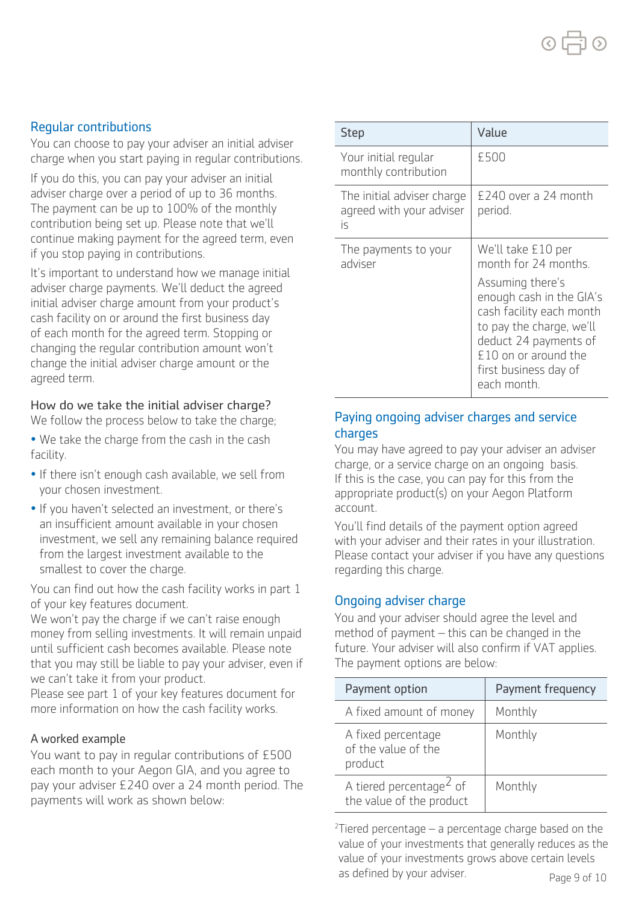# Regular contributions

You can choose to pay your adviser an initial adviser charge when you start paying in regular contributions.

If you do this, you can pay your adviser an initial adviser charge over a period of up to 36 months. The payment can be up to 100% of the monthly contribution being set up. Please note that we'll continue making payment for the agreed term, even if you stop paying in contributions.

It's important to understand how we manage initial adviser charge payments. We'll deduct the agreed initial adviser charge amount from your product's cash facility on or around the first business day of each month for the agreed term. Stopping or changing the regular contribution amount won't change the initial adviser charge amount or the agreed term.

### How do we take the initial adviser charge?

We follow the process below to take the charge;

- We take the charge from the cash in the cash facility.
- If there isn't enough cash available, we sell from your chosen investment.
- If you haven't selected an investment, or there's an insufficient amount available in your chosen investment, we sell any remaining balance required from the largest investment available to the smallest to cover the charge.

You can find out how the cash facility works in part 1 of your key features document.

We won't pay the charge if we can't raise enough money from selling investments. It will remain unpaid until sufficient cash becomes available. Please note that you may still be liable to pay your adviser, even if we can't take it from your product.

Please see part 1 of your key features document for more information on how the cash facility works.

#### A worked example

You want to pay in regular contributions of £500 each month to your Aegon GIA, and you agree to pay your adviser £240 over a 24 month period. The payments will work as shown below:

| <b>Step</b>                                                  | Value                                                                                                                                                                                                                                       |
|--------------------------------------------------------------|---------------------------------------------------------------------------------------------------------------------------------------------------------------------------------------------------------------------------------------------|
| Your initial regular<br>monthly contribution                 | £500                                                                                                                                                                                                                                        |
| The initial adviser charge<br>agreed with your adviser<br>is | £240 over a 24 month<br>period.                                                                                                                                                                                                             |
| The payments to your<br>adviser                              | We'll take £10 per<br>month for 24 months.<br>Assuming there's<br>enough cash in the GIA's<br>cash facility each month<br>to pay the charge, we'll<br>deduct 24 payments of<br>£10 on or around the<br>first business day of<br>each month. |

# Paying ongoing adviser charges and service charges

You may have agreed to pay your adviser an adviser charge, or a service charge on an ongoing basis. If this is the case, you can pay for this from the appropriate product(s) on your Aegon Platform account.

You'll find details of the payment option agreed with your adviser and their rates in your illustration. Please contact your adviser if you have any questions regarding this charge.

# Ongoing adviser charge

You and your adviser should agree the level and method of payment – this can be changed in the future. Your adviser will also confirm if VAT applies. The payment options are below:

| Payment option                                                  | Payment frequency |
|-----------------------------------------------------------------|-------------------|
| A fixed amount of money                                         | Monthly           |
| A fixed percentage<br>of the value of the<br>product            | Monthly           |
| A tiered percentage <sup>2</sup> of<br>the value of the product | Monthly           |

 $2$ Tiered percentage  $-$  a percentage charge based on the value of your investments that generally reduces as the value of your investments grows above certain levels as defined by your adviser. Page 9 of 10